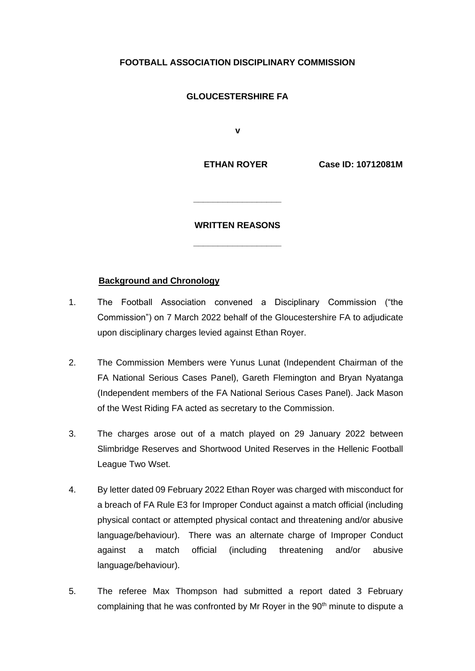# **FOOTBALL ASSOCIATION DISCIPLINARY COMMISSION**

## **GLOUCESTERSHIRE FA**

 **v**

 **ETHAN ROYER Case ID: 10712081M** 

#### **WRITTEN REASONS**

**\_\_\_\_\_\_\_\_\_\_\_\_\_\_\_\_\_\_**

**\_\_\_\_\_\_\_\_\_\_\_\_\_\_\_\_\_\_**

#### **Background and Chronology**

- 1. The Football Association convened a Disciplinary Commission ("the Commission") on 7 March 2022 behalf of the Gloucestershire FA to adjudicate upon disciplinary charges levied against Ethan Royer.
- 2. The Commission Members were Yunus Lunat (Independent Chairman of the FA National Serious Cases Panel), Gareth Flemington and Bryan Nyatanga (Independent members of the FA National Serious Cases Panel). Jack Mason of the West Riding FA acted as secretary to the Commission.
- 3. The charges arose out of a match played on 29 January 2022 between Slimbridge Reserves and Shortwood United Reserves in the Hellenic Football League Two Wset.
- 4. By letter dated 09 February 2022 Ethan Royer was charged with misconduct for a breach of FA Rule E3 for Improper Conduct against a match official (including physical contact or attempted physical contact and threatening and/or abusive language/behaviour). There was an alternate charge of Improper Conduct against a match official (including threatening and/or abusive language/behaviour).
- 5. The referee Max Thompson had submitted a report dated 3 February complaining that he was confronted by Mr Royer in the 90<sup>th</sup> minute to dispute a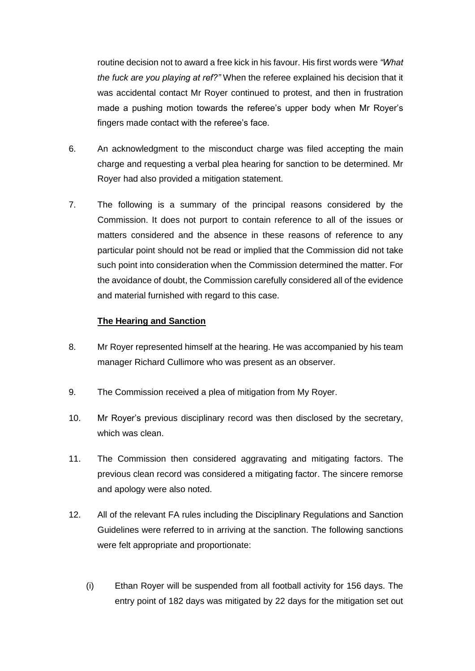routine decision not to award a free kick in his favour. His first words were *"What the fuck are you playing at ref?"* When the referee explained his decision that it was accidental contact Mr Royer continued to protest, and then in frustration made a pushing motion towards the referee's upper body when Mr Royer's fingers made contact with the referee's face.

- 6. An acknowledgment to the misconduct charge was filed accepting the main charge and requesting a verbal plea hearing for sanction to be determined. Mr Royer had also provided a mitigation statement.
- 7. The following is a summary of the principal reasons considered by the Commission. It does not purport to contain reference to all of the issues or matters considered and the absence in these reasons of reference to any particular point should not be read or implied that the Commission did not take such point into consideration when the Commission determined the matter. For the avoidance of doubt, the Commission carefully considered all of the evidence and material furnished with regard to this case.

### **The Hearing and Sanction**

- 8. Mr Royer represented himself at the hearing. He was accompanied by his team manager Richard Cullimore who was present as an observer.
- 9. The Commission received a plea of mitigation from My Royer.
- 10. Mr Royer's previous disciplinary record was then disclosed by the secretary, which was clean.
- 11. The Commission then considered aggravating and mitigating factors. The previous clean record was considered a mitigating factor. The sincere remorse and apology were also noted.
- 12. All of the relevant FA rules including the Disciplinary Regulations and Sanction Guidelines were referred to in arriving at the sanction. The following sanctions were felt appropriate and proportionate:
	- (i) Ethan Royer will be suspended from all football activity for 156 days. The entry point of 182 days was mitigated by 22 days for the mitigation set out